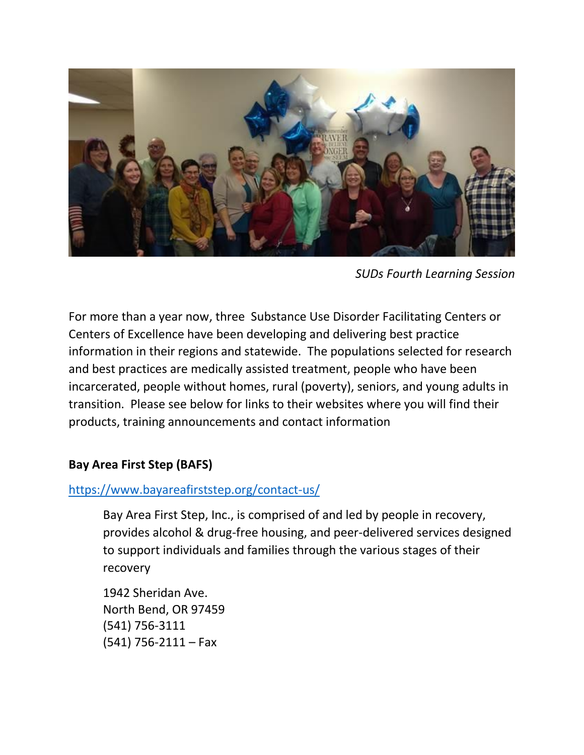

*SUDs Fourth Learning Session*

For more than a year now, three Substance Use Disorder Facilitating Centers or Centers of Excellence have been developing and delivering best practice information in their regions and statewide. The populations selected for research and best practices are medically assisted treatment, people who have been incarcerated, people without homes, rural (poverty), seniors, and young adults in transition. Please see below for links to their websites where you will find their products, training announcements and contact information

### **Bay Area First Step (BAFS)**

## <https://www.bayareafirststep.org/contact-us/>

Bay Area First Step, Inc., is comprised of and led by people in recovery, provides alcohol & drug-free housing, and peer-delivered services designed to support individuals and families through the various stages of their recovery

1942 Sheridan Ave. North Bend, OR 97459 (541) 756-3111  $(541)$  756-2111 – Fax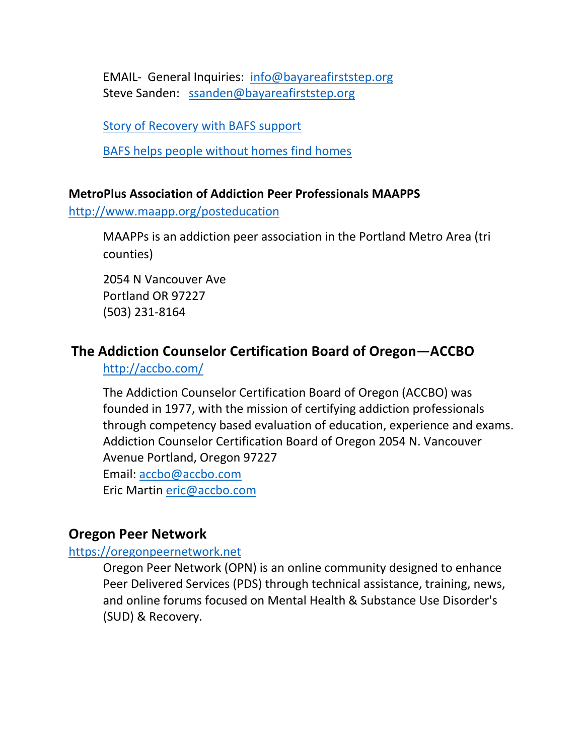EMAIL- General Inquiries: [info@bayareafirststep.org](mailto:info@bayareafirststep.org) Steve Sanden: [ssanden@bayareafirststep.org](mailto:ssanden@bayareafirststep.org)

[Story of Recovery with BAFS support](http://kcby.com/news/local/i-woke-up-in-klamath-county-jail-realized-i-needed-to-start-doing-something-different) 

[BAFS helps people without homes find homes](http://theworldlink.com/news/local/homeless-finding-homes/article_00600a05-9eba-5116-bf59-c78b7fb9e0fc.html)

#### **MetroPlus Association of Addiction Peer Professionals MAAPPS**

<http://www.maapp.org/posteducation>

MAAPPs is an addiction peer association in the Portland Metro Area (tri counties)

2054 N Vancouver Ave Portland OR 97227 (503) 231-8164

# **The Addiction Counselor Certification Board of Oregon—ACCBO**

# <http://accbo.com/>

The Addiction Counselor Certification Board of Oregon (ACCBO) was founded in 1977, with the mission of certifying addiction professionals through competency based evaluation of education, experience and exams. Addiction Counselor Certification Board of Oregon 2054 N. Vancouver Avenue Portland, Oregon 97227 Email: [accbo@accbo.com](mailto:accbo@accbo.com) Eric Martin [eric@accbo.com](mailto:eric@accbo.com)

## **Oregon Peer Network**

#### [https://oregonpeernetwork.net](https://oregonpeernetwork.net/)

Oregon Peer Network (OPN) is an online community designed to enhance Peer Delivered Services (PDS) through technical assistance, training, news, and online forums focused on Mental Health & Substance Use Disorder's (SUD) & Recovery.